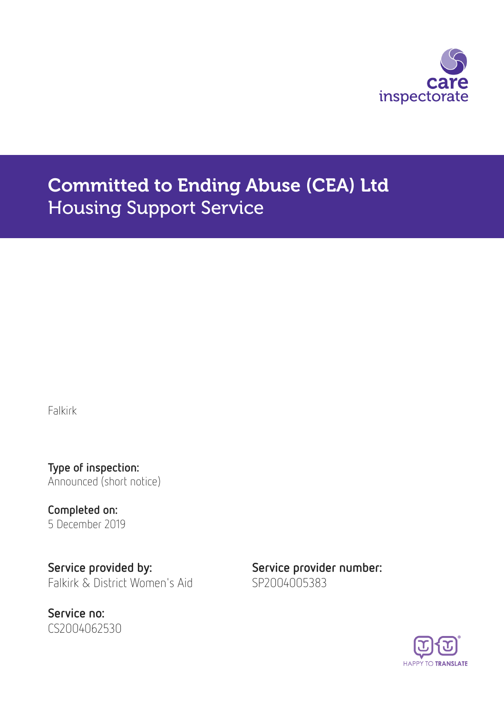

# Committed to Ending Abuse (CEA) Ltd Housing Support Service

Falkirk

Type of inspection: Announced (short notice)

Completed on: 5 December 2019

Service provided by: Service provider number: Falkirk & District Women's Aid SP2004005383

Service no: CS2004062530

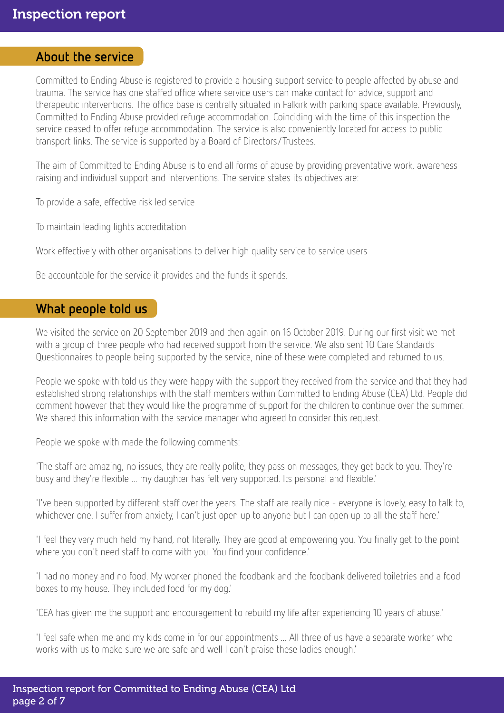#### About the service

Committed to Ending Abuse is registered to provide a housing support service to people affected by abuse and trauma. The service has one staffed office where service users can make contact for advice, support and therapeutic interventions. The office base is centrally situated in Falkirk with parking space available. Previously, Committed to Ending Abuse provided refuge accommodation. Coinciding with the time of this inspection the service ceased to offer refuge accommodation. The service is also conveniently located for access to public transport links. The service is supported by a Board of Directors/Trustees.

The aim of Committed to Ending Abuse is to end all forms of abuse by providing preventative work, awareness raising and individual support and interventions. The service states its objectives are:

To provide a safe, effective risk led service

To maintain leading lights accreditation

Work effectively with other organisations to deliver high quality service to service users

Be accountable for the service it provides and the funds it spends.

#### What people told us

We visited the service on 20 September 2019 and then again on 16 October 2019. During our first visit we met with a group of three people who had received support from the service. We also sent 10 Care Standards Questionnaires to people being supported by the service, nine of these were completed and returned to us.

People we spoke with told us they were happy with the support they received from the service and that they had established strong relationships with the staff members within Committed to Ending Abuse (CEA) Ltd. People did comment however that they would like the programme of support for the children to continue over the summer. We shared this information with the service manager who agreed to consider this request.

People we spoke with made the following comments:

'The staff are amazing, no issues, they are really polite, they pass on messages, they get back to you. They're busy and they're flexible ... my daughter has felt very supported. Its personal and flexible.'

'I've been supported by different staff over the years. The staff are really nice - everyone is lovely, easy to talk to, whichever one. I suffer from anxiety, I can't just open up to anyone but I can open up to all the staff here.'

'I feel they very much held my hand, not literally. They are good at empowering you. You finally get to the point where you don't need staff to come with you. You find your confidence.'

'I had no money and no food. My worker phoned the foodbank and the foodbank delivered toiletries and a food boxes to my house. They included food for my dog.'

'CEA has given me the support and encouragement to rebuild my life after experiencing 10 years of abuse.'

'I feel safe when me and my kids come in for our appointments ... All three of us have a separate worker who works with us to make sure we are safe and well I can't praise these ladies enough.'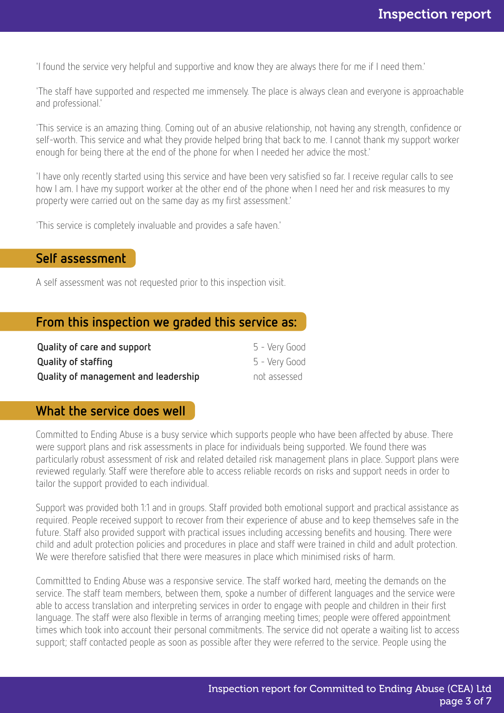'I found the service very helpful and supportive and know they are always there for me if I need them.'

'The staff have supported and respected me immensely. The place is always clean and everyone is approachable and professional.'

'This service is an amazing thing. Coming out of an abusive relationship, not having any strength, confidence or self-worth. This service and what they provide helped bring that back to me. I cannot thank my support worker enough for being there at the end of the phone for when I needed her advice the most.'

'I have only recently started using this service and have been very satisfied so far. I receive regular calls to see how I am. I have my support worker at the other end of the phone when I need her and risk measures to my property were carried out on the same day as my first assessment.'

'This service is completely invaluable and provides a safe haven.'

## Self assessment

A self assessment was not requested prior to this inspection visit.

## From this inspection we graded this service as:

| Quality of care and support          | 5 - Very Good |
|--------------------------------------|---------------|
| <b>Quality of staffing</b>           | 5 - Very Good |
| Quality of management and leadership | not assessed  |

## What the service does well

Committed to Ending Abuse is a busy service which supports people who have been affected by abuse. There were support plans and risk assessments in place for individuals being supported. We found there was particularly robust assessment of risk and related detailed risk management plans in place. Support plans were reviewed regularly. Staff were therefore able to access reliable records on risks and support needs in order to tailor the support provided to each individual.

Support was provided both 1:1 and in groups. Staff provided both emotional support and practical assistance as required. People received support to recover from their experience of abuse and to keep themselves safe in the future. Staff also provided support with practical issues including accessing benefits and housing. There were child and adult protection policies and procedures in place and staff were trained in child and adult protection. We were therefore satisfied that there were measures in place which minimised risks of harm.

Committted to Ending Abuse was a responsive service. The staff worked hard, meeting the demands on the service. The staff team members, between them, spoke a number of different languages and the service were able to access translation and interpreting services in order to engage with people and children in their first language. The staff were also flexible in terms of arranging meeting times; people were offered appointment times which took into account their personal commitments. The service did not operate a waiting list to access support; staff contacted people as soon as possible after they were referred to the service. People using the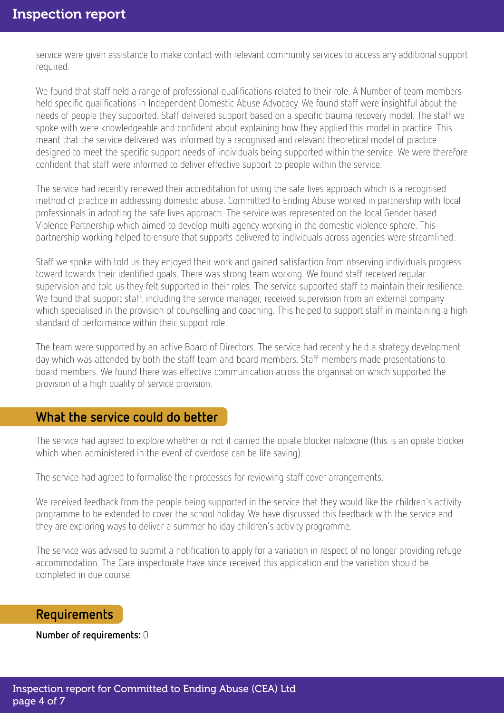service were given assistance to make contact with relevant community services to access any additional support required.

We found that staff held a range of professional qualifications related to their role. A Number of team members held specific qualifications in Independent Domestic Abuse Advocacy. We found staff were insightful about the needs of people they supported. Staff delivered support based on a specific trauma recovery model. The staff we spoke with were knowledgeable and confident about explaining how they applied this model in practice. This meant that the service delivered was informed by a recognised and relevant theoretical model of practice designed to meet the specific support needs of individuals being supported within the service. We were therefore confident that staff were informed to deliver effective support to people within the service.

The service had recently renewed their accreditation for using the safe lives approach which is a recognised method of practice in addressing domestic abuse. Committed to Ending Abuse worked in partnership with local professionals in adopting the safe lives approach. The service was represented on the local Gender based Violence Partnership which aimed to develop multi agency working in the domestic violence sphere. This partnership working helped to ensure that supports delivered to individuals across agencies were streamlined.

Staff we spoke with told us they enjoyed their work and gained satisfaction from observing individuals progress toward towards their identified goals. There was strong team working. We found staff received regular supervision and told us they felt supported in their roles. The service supported staff to maintain their resilience. We found that support staff, including the service manager, received supervision from an external company which specialised in the provision of counselling and coaching. This helped to support staff in maintaining a high standard of performance within their support role.

The team were supported by an active Board of Directors. The service had recently held a strategy development day which was attended by both the staff team and board members. Staff members made presentations to board members. We found there was effective communication across the organisation which supported the provision of a high quality of service provision.

## What the service could do better

The service had agreed to explore whether or not it carried the opiate blocker naloxone (this is an opiate blocker which when administered in the event of overdose can be life saving).

The service had agreed to formalise their processes for reviewing staff cover arrangements.

We received feedback from the people being supported in the service that they would like the children's activity programme to be extended to cover the school holiday. We have discussed this feedback with the service and they are exploring ways to deliver a summer holiday children's activity programme.

The service was advised to submit a notification to apply for a variation in respect of no longer providing refuge accommodation. The Care inspectorate have since received this application and the variation should be completed in due course.

#### Requirements

Number of requirements: 0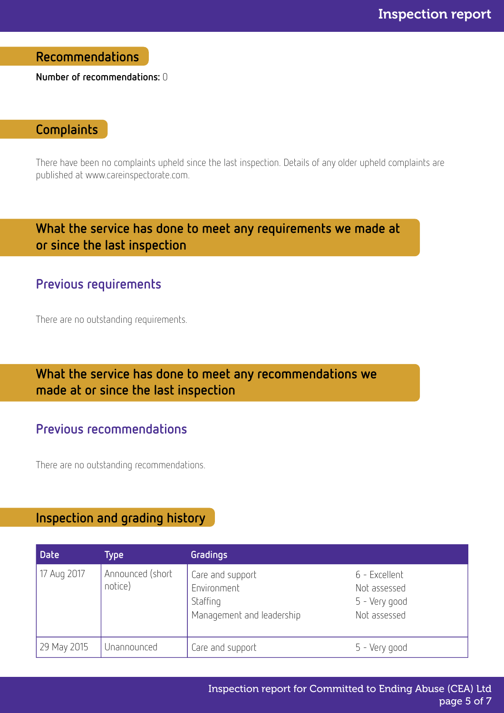Recommendations

Number of recommendations: 0

## **Complaints**

There have been no complaints upheld since the last inspection. Details of any older upheld complaints are published at www.careinspectorate.com.

## What the service has done to meet any requirements we made at or since the last inspection

## Previous requirements

There are no outstanding requirements.

# What the service has done to meet any recommendations we made at or since the last inspection

## Previous recommendations

There are no outstanding recommendations.

## Inspection and grading history

| <b>Date</b> | Type                        | Gradings                                                                 |                                                                |
|-------------|-----------------------------|--------------------------------------------------------------------------|----------------------------------------------------------------|
| 17 Aug 2017 | Announced (short<br>notice) | Care and support<br>Environment<br>Staffing<br>Management and leadership | 6 - Excellent<br>Not assessed<br>5 - Very good<br>Not assessed |
| 29 May 2015 | Unannounced                 | Care and support                                                         | 5 - Very good                                                  |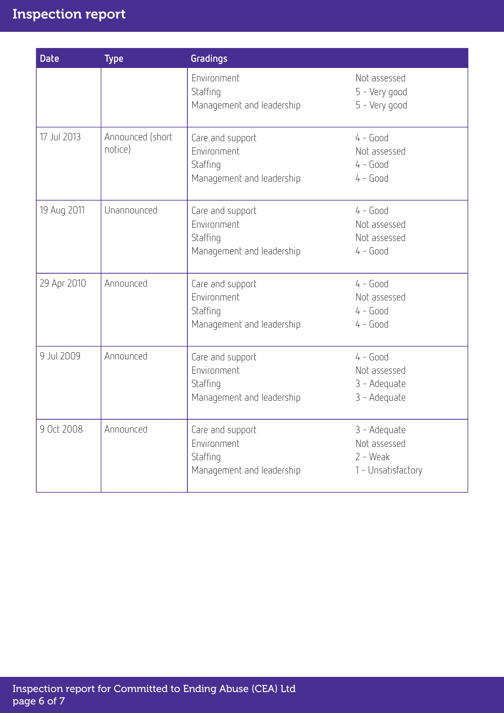| <b>Date</b> | <b>Type</b>                 | Gradings                                                                 |                                                                  |
|-------------|-----------------------------|--------------------------------------------------------------------------|------------------------------------------------------------------|
|             |                             | Environment<br>Staffing<br>Management and leadership                     | Not assessed<br>5 - Very good<br>5 - Very good                   |
| 17 Jul 2013 | Announced (short<br>notice) | Care and support<br>Environment<br>Staffing<br>Management and leadership | $4 - Good$<br>Not assessed<br>$4 - Good$<br>$4 - Good$           |
| 19 Aug 2011 | Unannounced                 | Care and support<br>Environment<br>Staffing<br>Management and leadership | $4 - Good$<br>Not assessed<br>Not assessed<br>$4 - Good$         |
| 29 Apr 2010 | Announced                   | Care and support<br>Environment<br>Staffing<br>Management and leadership | $4 - Good$<br>Not assessed<br>$4 - Good$<br>$4 - Good$           |
| 9 Jul 2009  | Announced                   | Care and support<br>Environment<br>Staffing<br>Management and leadership | $4 - Good$<br>Not assessed<br>3 - Adequate<br>3 - Adequate       |
| 9 Oct 2008  | Announced                   | Care and support<br>Environment<br>Staffing<br>Management and leadership | 3 - Adequate<br>Not assessed<br>$2 - Weak$<br>1 - Unsatisfactory |